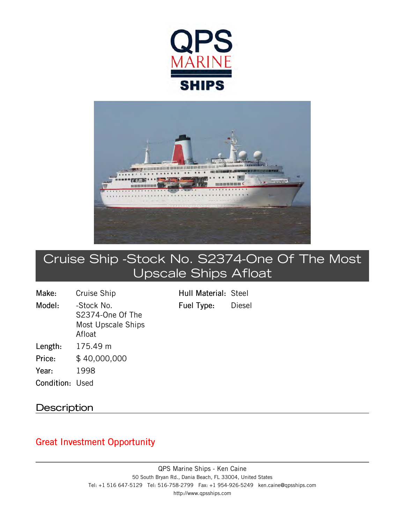



# Cruise Ship -Stock No. S2374-One Of The Most Upscale Ships Afloat

Make: Cruise Ship Model: -Stock No. S2374-One Of The Most Upscale Ships Afloat Length: 175.49 m Price: \$ 40,000,000 Year: 1998 Condition: Used

Hull Material: Steel Fuel Type: Diesel

## **Description**

# Great Investment Opportunity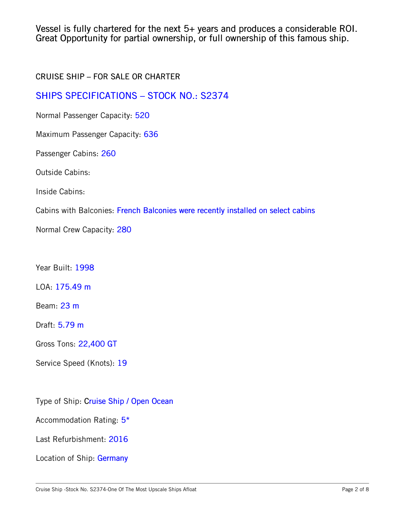Vessel is fully chartered for the next 5+ years and produces a considerable ROI. Great Opportunity for partial ownership, or full ownership of this famous ship.

CRUISE SHIP – FOR SALE OR CHARTER

## SHIPS SPECIFICATIONS – STOCK NO.: S2374

Normal Passenger Capacity: 520

Maximum Passenger Capacity: 636

Passenger Cabins: 260

Outside Cabins:

Inside Cabins:

Cabins with Balconies: French Balconies were recently installed on select cabins

Normal Crew Capacity: 280

Year Built: 1998

LOA: 175.49 m

Beam: 23 m

Draft: 5.79 m

Gross Tons: 22,400 GT

Service Speed (Knots): 19

Type of Ship: Cruise Ship / Open Ocean

Accommodation Rating: 5\*

Last Refurbishment: 2016

Location of Ship: Germany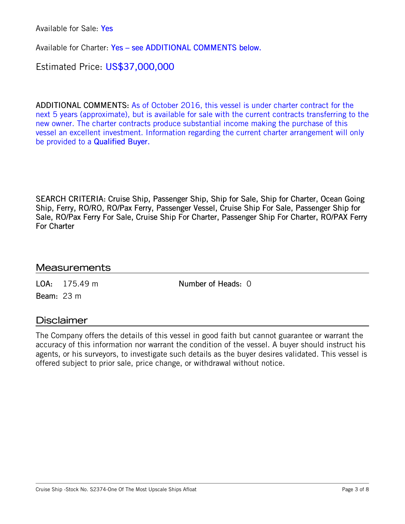Available for Sale: Yes

Available for Charter: Yes – see ADDITIONAL COMMENTS below.

Estimated Price: US\$37,000,000

ADDITIONAL COMMENTS: As of October 2016, this vessel is under charter contract for the next 5 years (approximate), but is available for sale with the current contracts transferring to the new owner. The charter contracts produce substantial income making the purchase of this vessel an excellent investment. Information regarding the current charter arrangement will only be provided to a Qualified Buyer.

SEARCH CRITERIA: Cruise Ship, Passenger Ship, Ship for Sale, Ship for Charter, Ocean Going Ship, Ferry, RO/RO, RO/Pax Ferry, Passenger Vessel, Cruise Ship For Sale, Passenger Ship for Sale, RO/Pax Ferry For Sale, Cruise Ship For Charter, Passenger Ship For Charter, RO/PAX Ferry For Charter

### Measurements

LOA: 175.49 m Beam: 23 m

Number of Heads: 0

### **Disclaimer**

The Company offers the details of this vessel in good faith but cannot guarantee or warrant the accuracy of this information nor warrant the condition of the vessel. A buyer should instruct his agents, or his surveyors, to investigate such details as the buyer desires validated. This vessel is offered subject to prior sale, price change, or withdrawal without notice.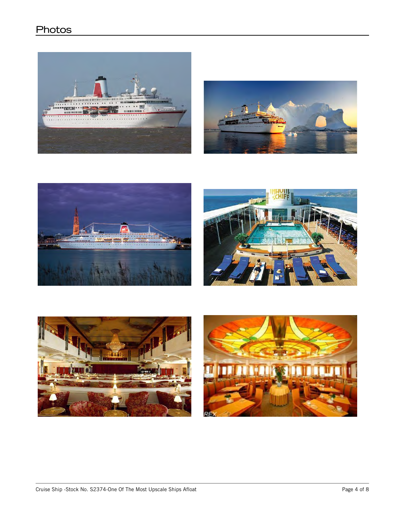## Photos











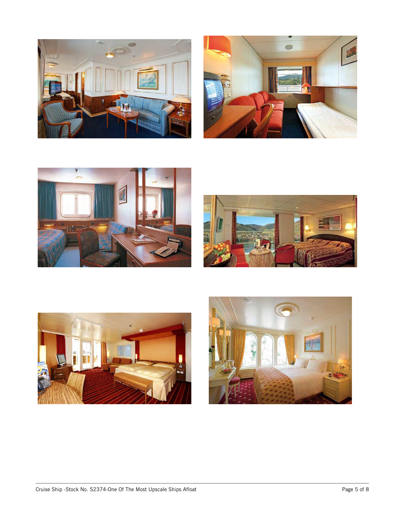









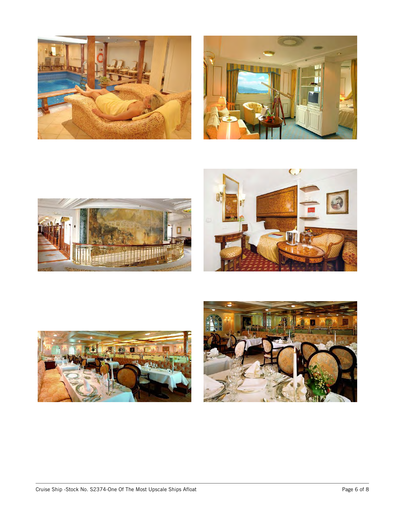









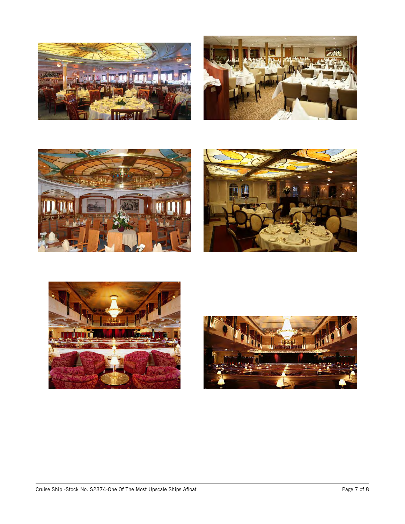